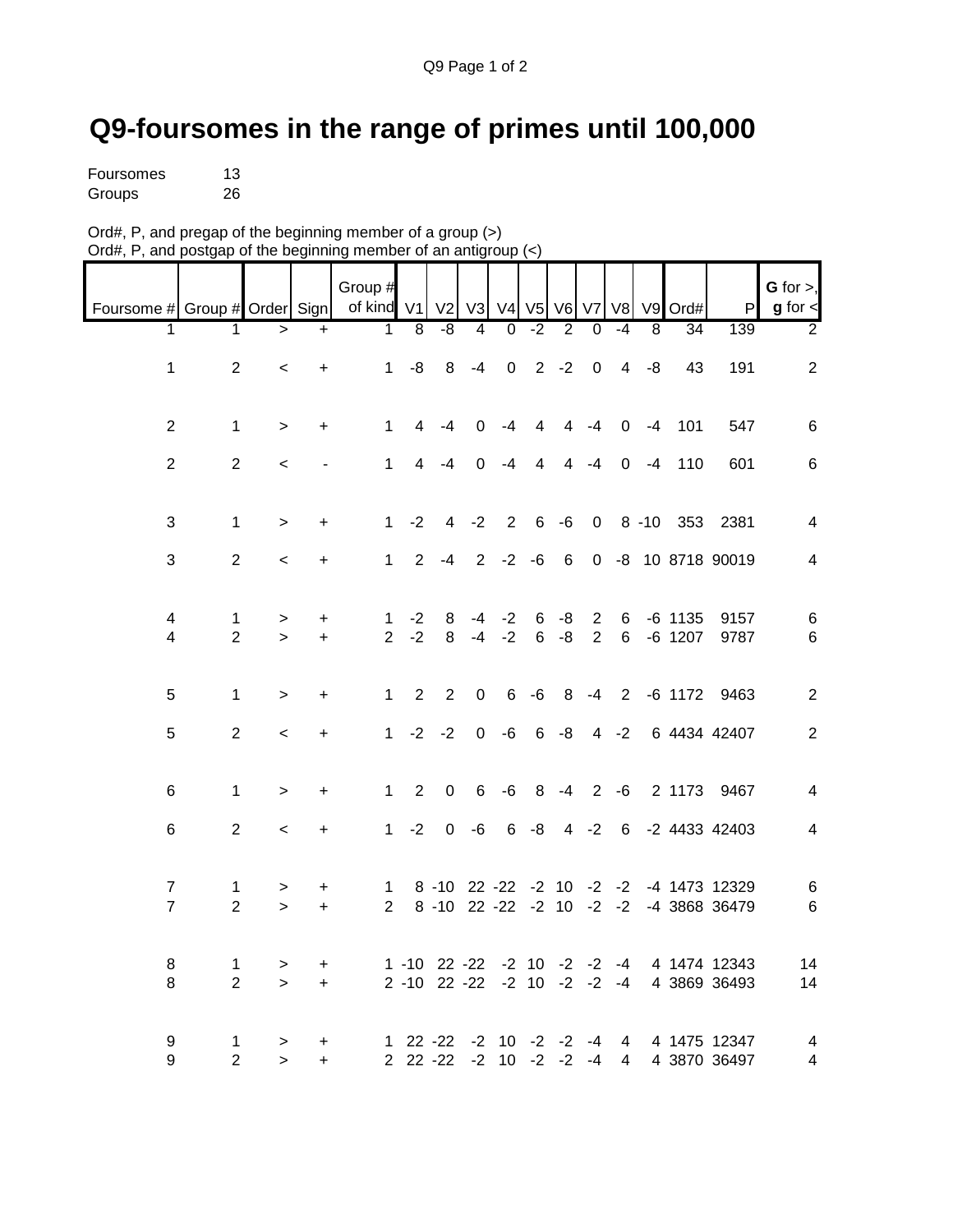## **Q9-foursomes in the range of primes until 100,000**

| Foursomes | 13 |
|-----------|----|
| Groups    | 26 |

| Ord#, P, and pregap of the beginning member of a group $(>)$     |  |
|------------------------------------------------------------------|--|
| Ord#, P, and postgap of the beginning member of an antigroup (<) |  |

|                               |                     |                     |           | Group #                                 |                |                                             |                |                        |                |                |                |                         |                |                 |                                        | G for $>$ ,    |
|-------------------------------|---------------------|---------------------|-----------|-----------------------------------------|----------------|---------------------------------------------|----------------|------------------------|----------------|----------------|----------------|-------------------------|----------------|-----------------|----------------------------------------|----------------|
| Foursome # Group # Order Sign |                     |                     |           | of kind v1 v2 v3 v4 v5 v6 v7 v8 v9 Ord# |                |                                             |                |                        |                |                |                |                         |                |                 | P                                      | $g$ for $\lt$  |
| 1                             | $\mathbf 1$         | $\geq$              | $+$       | $\mathbf{1}$                            | $\overline{8}$ | $-8$                                        | $\overline{4}$ | $\overline{0}$         | $-2$           | $\overline{2}$ | $\overline{0}$ | $-4$                    | $\overline{8}$ | $\overline{34}$ | 139                                    | $\overline{2}$ |
|                               |                     |                     |           |                                         |                |                                             |                |                        |                |                |                |                         |                |                 |                                        |                |
| $\mathbf{1}$                  | $\overline{2}$      | $\,<$               | $\ddot{}$ | $\mathbf 1$                             | -8             | 8                                           | $-4$           | $\overline{0}$         |                | $2 -2 0$       |                | $\overline{\mathbf{4}}$ | -8             | 43              | 191                                    | $\overline{2}$ |
|                               |                     |                     |           |                                         |                |                                             |                |                        |                |                |                |                         |                |                 |                                        |                |
|                               |                     |                     |           |                                         |                |                                             |                |                        |                |                |                |                         |                |                 |                                        |                |
| $\overline{2}$                | $\mathbf 1$         | $\geq$              | $\ddot{}$ | $\mathbf{1}$                            | 4              | $-4$                                        | $\mathbf 0$    | $-4$                   | $\overline{4}$ |                | $4 - 4$        | $\mathbf 0$             | $-4$           | 101             | 547                                    | $\,6\,$        |
|                               |                     |                     |           |                                         |                |                                             |                |                        |                |                |                |                         |                |                 |                                        |                |
| $\overline{2}$                | $\overline{2}$      | $\,<$               |           | $\mathbf{1}$                            | $\overline{4}$ | $-4$                                        | $\mathbf 0$    | $-4$                   | $\overline{4}$ |                | $4 - 4$        | $\mathbf 0$             | $-4$           | 110             | 601                                    | $\,6\,$        |
|                               |                     |                     |           |                                         |                |                                             |                |                        |                |                |                |                         |                |                 |                                        |                |
| 3                             | $\mathbf{1}$        | $\geq$              | $\ddot{}$ | 1                                       | $-2$           | 4                                           | $-2$           | $\overline{2}$         |                |                |                |                         |                |                 | 6 -6 0 8 -10 353 2381                  | $\overline{4}$ |
|                               |                     |                     |           |                                         |                |                                             |                |                        |                |                |                |                         |                |                 |                                        |                |
| $\mathfrak{S}$                | $\overline{2}$      | $\,<$               | +         | $\mathbf{1}$                            | $\overline{2}$ | $-4$                                        |                | $2 -2 -6$              |                | 6              |                |                         |                |                 | 0 -8 10 8718 90019                     | $\overline{4}$ |
|                               |                     |                     |           |                                         |                |                                             |                |                        |                |                |                |                         |                |                 |                                        |                |
|                               |                     |                     |           |                                         |                |                                             |                |                        |                |                |                |                         |                |                 |                                        |                |
| 4                             | 1                   | $\, >$              | +         | $\mathbf 1$                             | $-2$           | 8                                           | $-4$           | $-2$                   | 6              | $-8$           | $\overline{2}$ | $6\overline{6}$         |                | $-6$ 1135       | 9157                                   | $\,6$          |
| $\overline{4}$                | $\overline{2}$      | $\geq$              | $\ddot{}$ | $\overline{2}$                          | $-2$           | 8                                           |                | $-4 -2$                |                | $6 - 8$        | 2              | 6                       |                | -6 1207         | 9787                                   | $\,6\,$        |
|                               |                     |                     |           |                                         |                |                                             |                |                        |                |                |                |                         |                |                 |                                        |                |
|                               |                     |                     |           |                                         |                |                                             |                |                        |                |                |                |                         |                |                 |                                        |                |
| 5                             | $\mathbf{1}$        | $\geq$              | +         | $\mathbf{1}$                            | 2              | $\overline{2}$                              | $\mathbf 0$    | $6\phantom{.}6$        | $-6$           |                |                |                         |                |                 | 8 -4 2 -6 1172 9463                    | $\sqrt{2}$     |
| $\sqrt{5}$                    | $\overline{2}$      |                     |           | $\mathbf{1}$                            | $-2$           | $-2$                                        | $\mathbf 0$    | $-6$                   |                |                |                | $6 - 8 4 - 2$           |                |                 | 6 4434 42407                           | $\sqrt{2}$     |
|                               |                     | $\,<$               | $\ddot{}$ |                                         |                |                                             |                |                        |                |                |                |                         |                |                 |                                        |                |
|                               |                     |                     |           |                                         |                |                                             |                |                        |                |                |                |                         |                |                 |                                        |                |
| 6                             | $\mathbf{1}$        | $\geq$              | $\ddot{}$ | $\mathbf{1}$                            | 2              | $\mathbf 0$                                 | $\,6\,$        | $-6$                   |                | $8 - 4$        | $\overline{2}$ | $-6$                    |                |                 | 2 1173 9467                            | $\overline{4}$ |
|                               |                     |                     |           |                                         |                |                                             |                |                        |                |                |                |                         |                |                 |                                        |                |
| 6                             | $\overline{2}$      | $\,<$               | $\ddot{}$ | $\mathbf{1}$                            | $-2$           | $\mathbf 0$                                 | $-6$           | $6\phantom{.}6$        | $-8$           |                |                | $4 -2 6$                |                |                 | -2 4433 42403                          | $\overline{4}$ |
|                               |                     |                     |           |                                         |                |                                             |                |                        |                |                |                |                         |                |                 |                                        |                |
|                               |                     |                     |           |                                         |                |                                             |                |                        |                |                |                |                         |                |                 |                                        |                |
| $\overline{7}$                | $\mathbf 1$         | $\, >$              | +         | $\mathbf{1}$                            |                |                                             |                |                        |                |                |                |                         |                |                 | 8 -10 22 -22 -2 10 -2 -2 -4 1473 12329 | $\,6$          |
| $\overline{7}$                | $\overline{2}$      | $\mathbf{r}$        | $\ddot{}$ | $\overline{2}$                          |                |                                             |                |                        |                |                |                |                         |                |                 | 8 -10 22 -22 -2 10 -2 -2 -4 3868 36479 | $\,6\,$        |
|                               |                     |                     |           |                                         |                |                                             |                |                        |                |                |                |                         |                |                 |                                        |                |
| 8                             |                     |                     |           |                                         |                | $1 - 10$ 22 $-22$ $-2$ 10 $-2$ $-2$ $-4$    |                |                        |                |                |                |                         |                |                 | 4 1474 12343                           | 14             |
| 8                             | 1<br>$\overline{2}$ | $\, > \,$<br>$\geq$ | +<br>$+$  |                                         |                | $2 - 10$ $22 - 22$ $-2$ $10$ $-2$ $-2$ $-4$ |                |                        |                |                |                |                         |                |                 | 4 3869 36493                           | 14             |
|                               |                     |                     |           |                                         |                |                                             |                |                        |                |                |                |                         |                |                 |                                        |                |
|                               |                     |                     |           |                                         |                |                                             |                |                        |                |                |                |                         |                |                 |                                        |                |
| 9                             | 1                   | $\, >$              | +         |                                         | $122 -22$      |                                             |                | $-2$ 10 $-2$ $-2$      |                |                | -4             | 4                       |                |                 | 4 1475 12347                           | $\overline{4}$ |
| 9                             | $\overline{2}$      | $\geq$              | $\ddot{}$ |                                         |                | $2$ 22 - $22$                               |                | $-2$ 10 $-2$ $-2$ $-4$ |                |                |                | $\overline{4}$          |                |                 | 4 3870 36497                           | $\overline{4}$ |